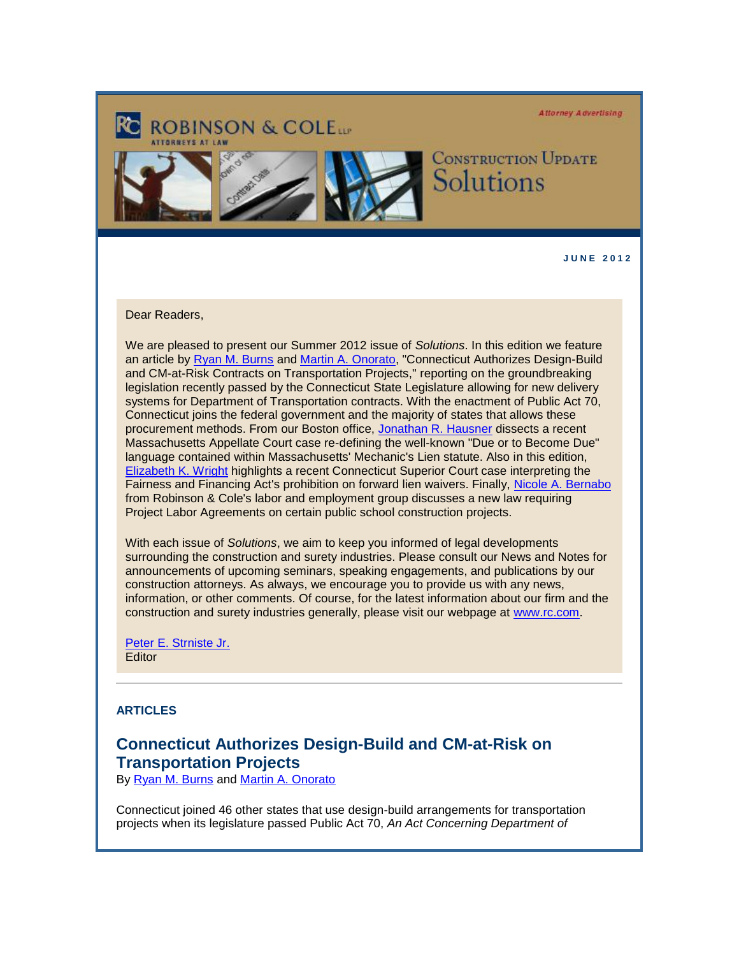**Attorney Advertising** 



**CONSTRUCTION UPDATE** Solutions

**J U N E 2 0 1 2** 

Dear Readers,

We are pleased to present our Summer 2012 issue of *Solutions*. In this edition we feature an article by [Ryan M. Burns](http://cl.exct.net/?ju=fe3517737d60067c761472&ls=fde61d797263037f7c157477&m=fefb1671756c0d&l=fec811727763027c&s=fe25167675620c7c721078&jb=ffcf14&t=) and [Martin A. Onorato,](http://cl.exct.net/?ju=fe3417737d60067c761473&ls=fde61d797263037f7c157477&m=fefb1671756c0d&l=fec811727763027c&s=fe25167675620c7c721078&jb=ffcf14&t=) "Connecticut Authorizes Design-Build and CM-at-Risk Contracts on Transportation Projects," reporting on the groundbreaking legislation recently passed by the Connecticut State Legislature allowing for new delivery systems for Department of Transportation contracts. With the enactment of Public Act 70, Connecticut joins the federal government and the majority of states that allows these procurement methods. From our Boston office, [Jonathan R. Hausner](http://cl.exct.net/?ju=fe3317737d60067c761474&ls=fde61d797263037f7c157477&m=fefb1671756c0d&l=fec811727763027c&s=fe25167675620c7c721078&jb=ffcf14&t=) dissects a recent Massachusetts Appellate Court case re-defining the well-known "Due or to Become Due" language contained within Massachusetts' Mechanic's Lien statute. Also in this edition, [Elizabeth K. Wright](http://cl.exct.net/?ju=fe3217737d60067c761475&ls=fde61d797263037f7c157477&m=fefb1671756c0d&l=fec811727763027c&s=fe25167675620c7c721078&jb=ffcf14&t=) highlights a recent Connecticut Superior Court case interpreting the Fairness and Financing Act's prohibition on forward lien waivers. Finally, [Nicole A. Bernabo](http://cl.exct.net/?ju=fe3117737d60067c761476&ls=fde61d797263037f7c157477&m=fefb1671756c0d&l=fec811727763027c&s=fe25167675620c7c721078&jb=ffcf14&t=) from Robinson & Cole's labor and employment group discusses a new law requiring Project Labor Agreements on certain public school construction projects.

With each issue of *Solutions*, we aim to keep you informed of legal developments surrounding the construction and surety industries. Please consult our News and Notes for announcements of upcoming seminars, speaking engagements, and publications by our construction attorneys. As always, we encourage you to provide us with any news, information, or other comments. Of course, for the latest information about our firm and the construction and surety industries generally, please visit our webpage at [www.rc.com.](http://cl.exct.net/?ju=fe3017737d60067c761477&ls=fde61d797263037f7c157477&m=fefb1671756c0d&l=fec811727763027c&s=fe25167675620c7c721078&jb=ffcf14&t=)

[Peter E. Strniste Jr.](http://cl.exct.net/?ju=fe2f17737d60067c761478&ls=fde61d797263037f7c157477&m=fefb1671756c0d&l=fec811727763027c&s=fe25167675620c7c721078&jb=ffcf14&t=) **Editor** 

#### **ARTICLES**

# **Connecticut Authorizes Design-Build and CM-at-Risk on Transportation Projects**

By [Ryan M. Burns](http://cl.exct.net/?ju=fe3517737d60067c761472&ls=fde61d797263037f7c157477&m=fefb1671756c0d&l=fec811727763027c&s=fe25167675620c7c721078&jb=ffcf14&t=) and [Martin A. Onorato](http://cl.exct.net/?ju=fe2e17737d60067c761479&ls=fde61d797263037f7c157477&m=fefb1671756c0d&l=fec811727763027c&s=fe25167675620c7c721078&jb=ffcf14&t=)

Connecticut joined 46 other states that use design-build arrangements for transportation projects when its legislature passed Public Act 70, *An Act Concerning Department of*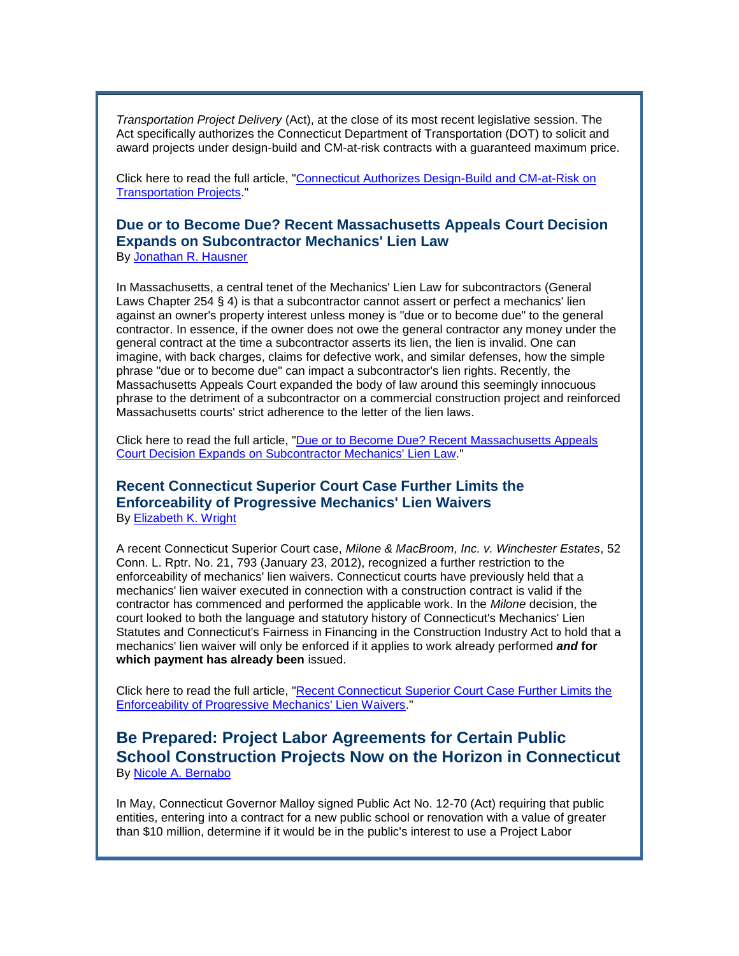*Transportation Project Delivery* (Act), at the close of its most recent legislative session. The Act specifically authorizes the Connecticut Department of Transportation (DOT) to solicit and award projects under design-build and CM-at-risk contracts with a guaranteed maximum price.

Click here to read the full article, ["Connecticut Authorizes Design-Build and CM-at-Risk on](http://cl.exct.net/?ju=fe3617737d60067c761570&ls=fde61d797263037f7c157477&m=fefb1671756c0d&l=fec811727763027c&s=fe25167675620c7c721078&jb=ffcf14&t=)  **Transportation Projects** 

### **Due or to Become Due? Recent Massachusetts Appeals Court Decision Expands on Subcontractor Mechanics' Lien Law** By [Jonathan R. Hausner](http://cl.exct.net/?ju=fe3517737d60067c761571&ls=fde61d797263037f7c157477&m=fefb1671756c0d&l=fec811727763027c&s=fe25167675620c7c721078&jb=ffcf14&t=)

In Massachusetts, a central tenet of the Mechanics' Lien Law for subcontractors (General Laws Chapter 254 § 4) is that a subcontractor cannot assert or perfect a mechanics' lien against an owner's property interest unless money is "due or to become due" to the general contractor. In essence, if the owner does not owe the general contractor any money under the general contract at the time a subcontractor asserts its lien, the lien is invalid. One can imagine, with back charges, claims for defective work, and similar defenses, how the simple phrase "due or to become due" can impact a subcontractor's lien rights. Recently, the Massachusetts Appeals Court expanded the body of law around this seemingly innocuous phrase to the detriment of a subcontractor on a commercial construction project and reinforced Massachusetts courts' strict adherence to the letter of the lien laws.

Click here to read the full article, ["Due or to Become Due? Recent Massachusetts Appeals](http://cl.exct.net/?ju=fe3417737d60067c761572&ls=fde61d797263037f7c157477&m=fefb1671756c0d&l=fec811727763027c&s=fe25167675620c7c721078&jb=ffcf14&t=)  [Court Decision Expands on Subcontractor Mechanics' Lien Law.](http://cl.exct.net/?ju=fe3417737d60067c761572&ls=fde61d797263037f7c157477&m=fefb1671756c0d&l=fec811727763027c&s=fe25167675620c7c721078&jb=ffcf14&t=)"

## **Recent Connecticut Superior Court Case Further Limits the Enforceability of Progressive Mechanics' Lien Waivers** By [Elizabeth K. Wright](http://cl.exct.net/?ju=fe3317737d60067c761573&ls=fde61d797263037f7c157477&m=fefb1671756c0d&l=fec811727763027c&s=fe25167675620c7c721078&jb=ffcf14&t=)

A recent Connecticut Superior Court case, *Milone & MacBroom, Inc. v. Winchester Estates*, 52 Conn. L. Rptr. No. 21, 793 (January 23, 2012), recognized a further restriction to the enforceability of mechanics' lien waivers. Connecticut courts have previously held that a mechanics' lien waiver executed in connection with a construction contract is valid if the contractor has commenced and performed the applicable work. In the *Milone* decision, the court looked to both the language and statutory history of Connecticut's Mechanics' Lien Statutes and Connecticut's Fairness in Financing in the Construction Industry Act to hold that a mechanics' lien waiver will only be enforced if it applies to work already performed *and* **for which payment has already been** issued.

Click here to read the full article, ["Recent Connecticut Superior Court Case Further Limits the](http://cl.exct.net/?ju=fe3217737d60067c761574&ls=fde61d797263037f7c157477&m=fefb1671756c0d&l=fec811727763027c&s=fe25167675620c7c721078&jb=ffcf14&t=)  [Enforceability of Progressive Mechanics' Lien Waivers.](http://cl.exct.net/?ju=fe3217737d60067c761574&ls=fde61d797263037f7c157477&m=fefb1671756c0d&l=fec811727763027c&s=fe25167675620c7c721078&jb=ffcf14&t=)"

## **Be Prepared: Project Labor Agreements for Certain Public School Construction Projects Now on the Horizon in Connecticut** By [Nicole A. Bernabo](http://cl.exct.net/?ju=fe3117737d60067c761476&ls=fde61d797263037f7c157477&m=fefb1671756c0d&l=fec811727763027c&s=fe25167675620c7c721078&jb=ffcf14&t=)

In May, Connecticut Governor Malloy signed Public Act No. 12-70 (Act) requiring that public entities, entering into a contract for a new public school or renovation with a value of greater than \$10 million, determine if it would be in the public's interest to use a Project Labor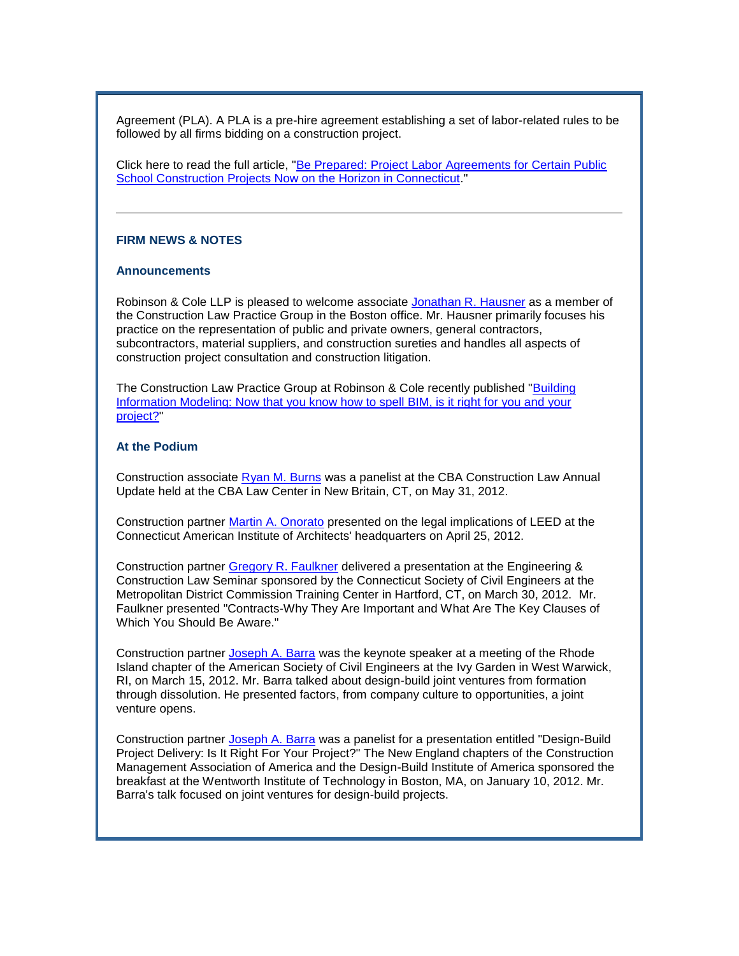Agreement (PLA). A PLA is a pre-hire agreement establishing a set of labor-related rules to be followed by all firms bidding on a construction project.

Click here to read the full article, ["Be Prepared: Project Labor Agreements for Certain Public](http://cl.exct.net/?ju=fe3117737d60067c761575&ls=fde61d797263037f7c157477&m=fefb1671756c0d&l=fec811727763027c&s=fe25167675620c7c721078&jb=ffcf14&t=)  [School Construction Projects Now on the Horizon in Connecticut.](http://cl.exct.net/?ju=fe3117737d60067c761575&ls=fde61d797263037f7c157477&m=fefb1671756c0d&l=fec811727763027c&s=fe25167675620c7c721078&jb=ffcf14&t=)"

### **FIRM NEWS & NOTES**

#### **Announcements**

Robinson & Cole LLP is pleased to welcome associate [Jonathan R. Hausner](http://cl.exct.net/?ju=fe3317737d60067c761474&ls=fde61d797263037f7c157477&m=fefb1671756c0d&l=fec811727763027c&s=fe25167675620c7c721078&jb=ffcf14&t=) as a member of the Construction Law Practice Group in the Boston office. Mr. Hausner primarily focuses his practice on the representation of public and private owners, general contractors, subcontractors, material suppliers, and construction sureties and handles all aspects of construction project consultation and construction litigation.

The Construction Law Practice Group at Robinson & Cole recently published ["Building](http://cl.exct.net/?ju=fe3017737d60067c761576&ls=fde61d797263037f7c157477&m=fefb1671756c0d&l=fec811727763027c&s=fe25167675620c7c721078&jb=ffcf14&t=)  [Information Modeling: Now that you know how to spell BIM, is it right for you and your](http://cl.exct.net/?ju=fe3017737d60067c761576&ls=fde61d797263037f7c157477&m=fefb1671756c0d&l=fec811727763027c&s=fe25167675620c7c721078&jb=ffcf14&t=)  [project?"](http://cl.exct.net/?ju=fe3017737d60067c761576&ls=fde61d797263037f7c157477&m=fefb1671756c0d&l=fec811727763027c&s=fe25167675620c7c721078&jb=ffcf14&t=)

#### **At the Podium**

Construction associate [Ryan M. Burns](http://cl.exct.net/?ju=fe3517737d60067c761472&ls=fde61d797263037f7c157477&m=fefb1671756c0d&l=fec811727763027c&s=fe25167675620c7c721078&jb=ffcf14&t=) was a panelist at the CBA Construction Law Annual Update held at the CBA Law Center in New Britain, CT, on May 31, 2012.

Construction partner [Martin A. Onorato](http://cl.exct.net/?ju=fe3417737d60067c761473&ls=fde61d797263037f7c157477&m=fefb1671756c0d&l=fec811727763027c&s=fe25167675620c7c721078&jb=ffcf14&t=) presented on the legal implications of LEED at the Connecticut American Institute of Architects' headquarters on April 25, 2012.

Construction partner [Gregory R. Faulkner](http://cl.exct.net/?ju=fe2f17737d60067c761577&ls=fde61d797263037f7c157477&m=fefb1671756c0d&l=fec811727763027c&s=fe25167675620c7c721078&jb=ffcf14&t=) delivered a presentation at the Engineering & Construction Law Seminar sponsored by the Connecticut Society of Civil Engineers at the Metropolitan District Commission Training Center in Hartford, CT, on March 30, 2012. Mr. Faulkner presented "Contracts-Why They Are Important and What Are The Key Clauses of Which You Should Be Aware."

Construction partner [Joseph A. Barra](http://cl.exct.net/?ju=fe2e17737d60067c761578&ls=fde61d797263037f7c157477&m=fefb1671756c0d&l=fec811727763027c&s=fe25167675620c7c721078&jb=ffcf14&t=) was the keynote speaker at a meeting of the Rhode Island chapter of the American Society of Civil Engineers at the Ivy Garden in West Warwick, RI, on March 15, 2012. Mr. Barra talked about design-build joint ventures from formation through dissolution. He presented factors, from company culture to opportunities, a joint venture opens.

Construction partner [Joseph A. Barra](http://cl.exct.net/?ju=fe2e17737d60067c761578&ls=fde61d797263037f7c157477&m=fefb1671756c0d&l=fec811727763027c&s=fe25167675620c7c721078&jb=ffcf14&t=) was a panelist for a presentation entitled "Design-Build Project Delivery: Is It Right For Your Project?" The New England chapters of the Construction Management Association of America and the Design-Build Institute of America sponsored the breakfast at the Wentworth Institute of Technology in Boston, MA, on January 10, 2012. Mr. Barra's talk focused on joint ventures for design-build projects.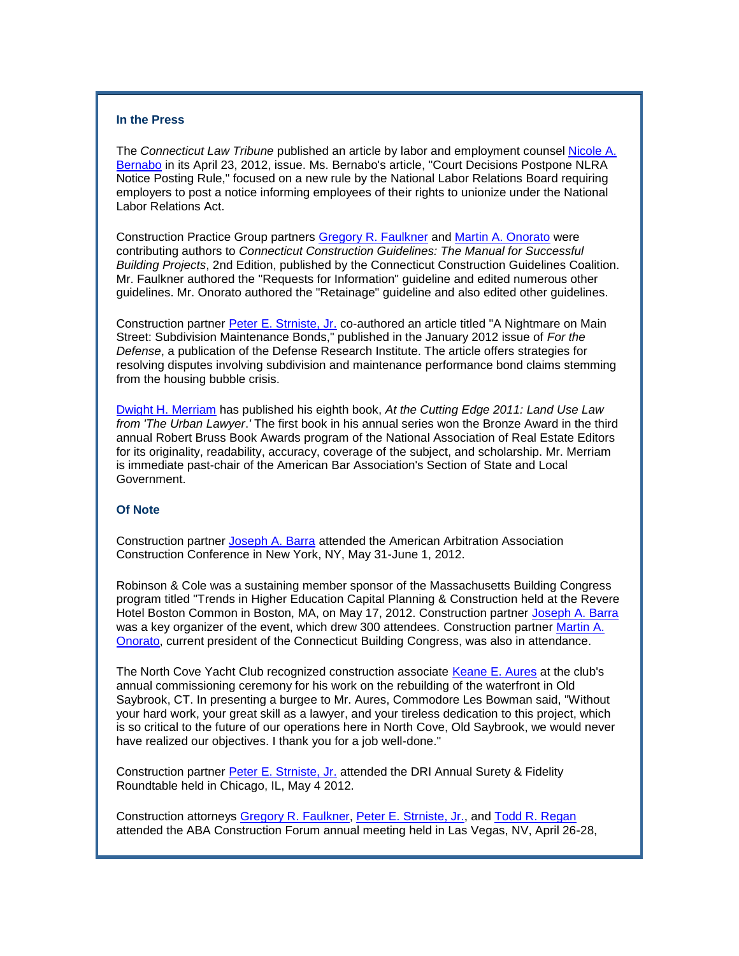## **In the Press**

The *Connecticut Law Tribune* published an article by labor and employment counsel [Nicole A.](http://cl.exct.net/?ju=fe3117737d60067c761476&ls=fde61d797263037f7c157477&m=fefb1671756c0d&l=fec811727763027c&s=fe25167675620c7c721078&jb=ffcf14&t=)  [Bernabo](http://cl.exct.net/?ju=fe3117737d60067c761476&ls=fde61d797263037f7c157477&m=fefb1671756c0d&l=fec811727763027c&s=fe25167675620c7c721078&jb=ffcf14&t=) in its April 23, 2012, issue. Ms. Bernabo's article, "Court Decisions Postpone NLRA Notice Posting Rule," focused on a new rule by the National Labor Relations Board requiring employers to post a notice informing employees of their rights to unionize under the National Labor Relations Act.

Construction Practice Group partners [Gregory R. Faulkner](http://cl.exct.net/?ju=fe2f17737d60067c761577&ls=fde61d797263037f7c157477&m=fefb1671756c0d&l=fec811727763027c&s=fe25167675620c7c721078&jb=ffcf14&t=) and [Martin A. Onorato](http://cl.exct.net/?ju=fe3417737d60067c761473&ls=fde61d797263037f7c157477&m=fefb1671756c0d&l=fec811727763027c&s=fe25167675620c7c721078&jb=ffcf14&t=) were contributing authors to *Connecticut Construction Guidelines: The Manual for Successful Building Projects*, 2nd Edition, published by the Connecticut Construction Guidelines Coalition. Mr. Faulkner authored the "Requests for Information" guideline and edited numerous other guidelines. Mr. Onorato authored the "Retainage" guideline and also edited other guidelines.

Construction partner [Peter E. Strniste, Jr.](http://cl.exct.net/?ju=fe2d17737d60067c761579&ls=fde61d797263037f7c157477&m=fefb1671756c0d&l=fec811727763027c&s=fe25167675620c7c721078&jb=ffcf14&t=) co-authored an article titled "A Nightmare on Main Street: Subdivision Maintenance Bonds," published in the January 2012 issue of *For the Defense*, a publication of the Defense Research Institute. The article offers strategies for resolving disputes involving subdivision and maintenance performance bond claims stemming from the housing bubble crisis.

[Dwight H. Merriam](http://cl.exct.net/?ju=fe3517737d60067c761670&ls=fde61d797263037f7c157477&m=fefb1671756c0d&l=fec811727763027c&s=fe25167675620c7c721078&jb=ffcf14&t=) has published his eighth book, *At the Cutting Edge 2011: Land Use Law from 'The Urban Lawyer*.*'* The first book in his annual series won the Bronze Award in the third annual Robert Bruss Book Awards program of the National Association of Real Estate Editors for its originality, readability, accuracy, coverage of the subject, and scholarship. Mr. Merriam is immediate past-chair of the American Bar Association's Section of State and Local Government.

#### **Of Note**

Construction partner [Joseph A. Barra](http://cl.exct.net/?ju=fe2e17737d60067c761578&ls=fde61d797263037f7c157477&m=fefb1671756c0d&l=fec811727763027c&s=fe25167675620c7c721078&jb=ffcf14&t=) attended the American Arbitration Association Construction Conference in New York, NY, May 31-June 1, 2012.

Robinson & Cole was a sustaining member sponsor of the Massachusetts Building Congress program titled "Trends in Higher Education Capital Planning & Construction held at the Revere Hotel Boston Common in Boston, MA, on May 17, 2012. Construction partner [Joseph A. Barra](http://cl.exct.net/?ju=fe2e17737d60067c761578&ls=fde61d797263037f7c157477&m=fefb1671756c0d&l=fec811727763027c&s=fe25167675620c7c721078&jb=ffcf14&t=) was a key organizer of the event, which drew 300 attendees. Construction partner Martin A. [Onorato,](http://cl.exct.net/?ju=fe3417737d60067c761473&ls=fde61d797263037f7c157477&m=fefb1671756c0d&l=fec811727763027c&s=fe25167675620c7c721078&jb=ffcf14&t=) current president of the Connecticut Building Congress, was also in attendance.

The North Cove Yacht Club recognized construction associate [Keane E. Aures](http://cl.exct.net/?ju=fe3417737d60067c761671&ls=fde61d797263037f7c157477&m=fefb1671756c0d&l=fec811727763027c&s=fe25167675620c7c721078&jb=ffcf14&t=) at the club's annual commissioning ceremony for his work on the rebuilding of the waterfront in Old Saybrook, CT. In presenting a burgee to Mr. Aures, Commodore Les Bowman said, "Without your hard work, your great skill as a lawyer, and your tireless dedication to this project, which is so critical to the future of our operations here in North Cove, Old Saybrook, we would never have realized our objectives. I thank you for a job well-done."

Construction partner [Peter E. Strniste, Jr.](http://cl.exct.net/?ju=fe2d17737d60067c761579&ls=fde61d797263037f7c157477&m=fefb1671756c0d&l=fec811727763027c&s=fe25167675620c7c721078&jb=ffcf14&t=) attended the DRI Annual Surety & Fidelity Roundtable held in Chicago, IL, May 4 2012.

Construction attorneys [Gregory R. Faulkner,](http://cl.exct.net/?ju=fe2f17737d60067c761577&ls=fde61d797263037f7c157477&m=fefb1671756c0d&l=fec811727763027c&s=fe25167675620c7c721078&jb=ffcf14&t=) [Peter E. Strniste, Jr.,](http://cl.exct.net/?ju=fe2d17737d60067c761579&ls=fde61d797263037f7c157477&m=fefb1671756c0d&l=fec811727763027c&s=fe25167675620c7c721078&jb=ffcf14&t=) and [Todd R. Regan](http://cl.exct.net/?ju=fe3317737d60067c761672&ls=fde61d797263037f7c157477&m=fefb1671756c0d&l=fec811727763027c&s=fe25167675620c7c721078&jb=ffcf14&t=) attended the ABA Construction Forum annual meeting held in Las Vegas, NV, April 26-28,